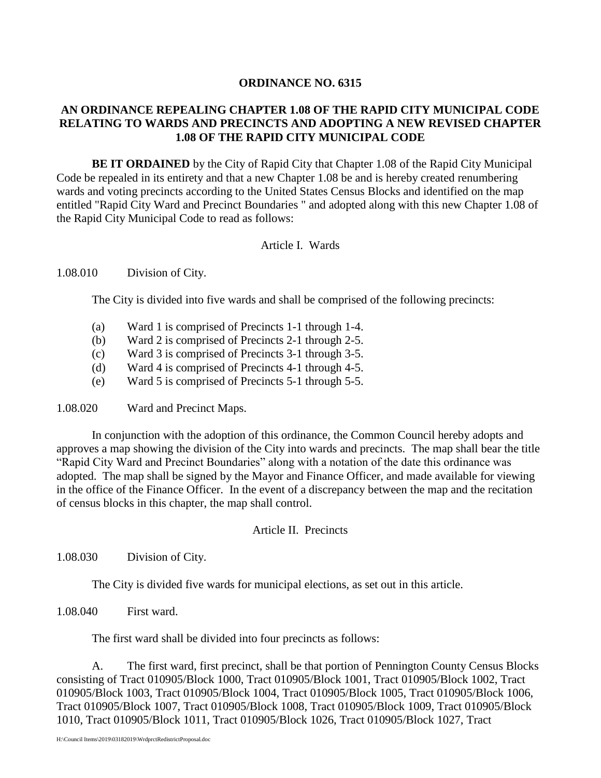# **ORDINANCE NO. 6315**

# **AN ORDINANCE REPEALING CHAPTER 1.08 OF THE RAPID CITY MUNICIPAL CODE RELATING TO WARDS AND PRECINCTS AND ADOPTING A NEW REVISED CHAPTER 1.08 OF THE RAPID CITY MUNICIPAL CODE**

**BE IT ORDAINED** by the City of Rapid City that Chapter 1.08 of the Rapid City Municipal Code be repealed in its entirety and that a new Chapter 1.08 be and is hereby created renumbering wards and voting precincts according to the United States Census Blocks and identified on the map entitled "Rapid City Ward and Precinct Boundaries " and adopted along with this new Chapter 1.08 of the Rapid City Municipal Code to read as follows:

# Article I. Wards

### 1.08.010 Division of City.

The City is divided into five wards and shall be comprised of the following precincts:

- (a) Ward 1 is comprised of Precincts 1-1 through 1-4.
- (b) Ward 2 is comprised of Precincts 2-1 through 2-5.
- (c) Ward 3 is comprised of Precincts 3-1 through 3-5.
- (d) Ward 4 is comprised of Precincts 4-1 through 4-5.
- (e) Ward 5 is comprised of Precincts 5-1 through 5-5.

1.08.020 Ward and Precinct Maps.

In conjunction with the adoption of this ordinance, the Common Council hereby adopts and approves a map showing the division of the City into wards and precincts. The map shall bear the title "Rapid City Ward and Precinct Boundaries" along with a notation of the date this ordinance was adopted. The map shall be signed by the Mayor and Finance Officer, and made available for viewing in the office of the Finance Officer. In the event of a discrepancy between the map and the recitation of census blocks in this chapter, the map shall control.

### Article II. Precincts

1.08.030 Division of City.

The City is divided five wards for municipal elections, as set out in this article.

1.08.040 First ward.

The first ward shall be divided into four precincts as follows:

A. The first ward, first precinct, shall be that portion of Pennington County Census Blocks consisting of Tract 010905/Block 1000, Tract 010905/Block 1001, Tract 010905/Block 1002, Tract 010905/Block 1003, Tract 010905/Block 1004, Tract 010905/Block 1005, Tract 010905/Block 1006, Tract 010905/Block 1007, Tract 010905/Block 1008, Tract 010905/Block 1009, Tract 010905/Block 1010, Tract 010905/Block 1011, Tract 010905/Block 1026, Tract 010905/Block 1027, Tract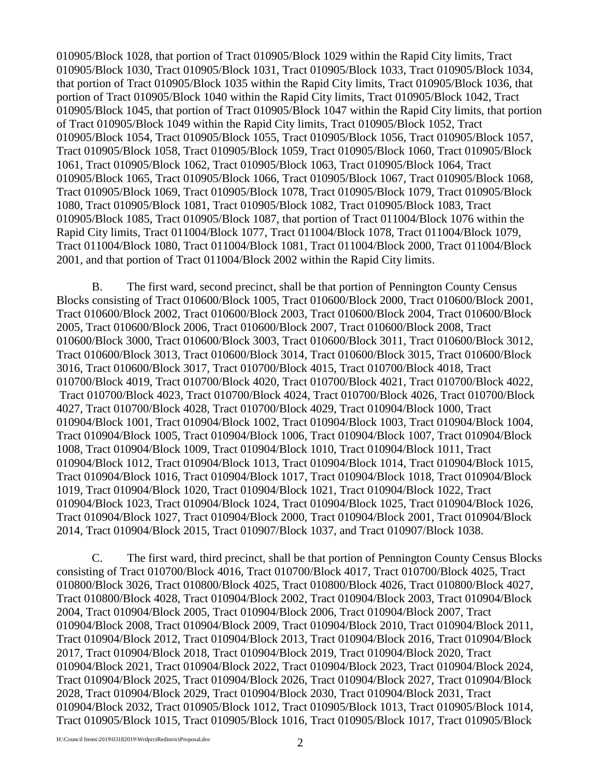010905/Block 1028, that portion of Tract 010905/Block 1029 within the Rapid City limits, Tract 010905/Block 1030, Tract 010905/Block 1031, Tract 010905/Block 1033, Tract 010905/Block 1034, that portion of Tract 010905/Block 1035 within the Rapid City limits, Tract 010905/Block 1036, that portion of Tract 010905/Block 1040 within the Rapid City limits, Tract 010905/Block 1042, Tract 010905/Block 1045, that portion of Tract 010905/Block 1047 within the Rapid City limits, that portion of Tract 010905/Block 1049 within the Rapid City limits, Tract 010905/Block 1052, Tract 010905/Block 1054, Tract 010905/Block 1055, Tract 010905/Block 1056, Tract 010905/Block 1057, Tract 010905/Block 1058, Tract 010905/Block 1059, Tract 010905/Block 1060, Tract 010905/Block 1061, Tract 010905/Block 1062, Tract 010905/Block 1063, Tract 010905/Block 1064, Tract 010905/Block 1065, Tract 010905/Block 1066, Tract 010905/Block 1067, Tract 010905/Block 1068, Tract 010905/Block 1069, Tract 010905/Block 1078, Tract 010905/Block 1079, Tract 010905/Block 1080, Tract 010905/Block 1081, Tract 010905/Block 1082, Tract 010905/Block 1083, Tract 010905/Block 1085, Tract 010905/Block 1087, that portion of Tract 011004/Block 1076 within the Rapid City limits, Tract 011004/Block 1077, Tract 011004/Block 1078, Tract 011004/Block 1079, Tract 011004/Block 1080, Tract 011004/Block 1081, Tract 011004/Block 2000, Tract 011004/Block 2001, and that portion of Tract 011004/Block 2002 within the Rapid City limits.

B. The first ward, second precinct, shall be that portion of Pennington County Census Blocks consisting of Tract 010600/Block 1005, Tract 010600/Block 2000, Tract 010600/Block 2001, Tract 010600/Block 2002, Tract 010600/Block 2003, Tract 010600/Block 2004, Tract 010600/Block 2005, Tract 010600/Block 2006, Tract 010600/Block 2007, Tract 010600/Block 2008, Tract 010600/Block 3000, Tract 010600/Block 3003, Tract 010600/Block 3011, Tract 010600/Block 3012, Tract 010600/Block 3013, Tract 010600/Block 3014, Tract 010600/Block 3015, Tract 010600/Block 3016, Tract 010600/Block 3017, Tract 010700/Block 4015, Tract 010700/Block 4018, Tract 010700/Block 4019, Tract 010700/Block 4020, Tract 010700/Block 4021, Tract 010700/Block 4022, Tract 010700/Block 4023, Tract 010700/Block 4024, Tract 010700/Block 4026, Tract 010700/Block 4027, Tract 010700/Block 4028, Tract 010700/Block 4029, Tract 010904/Block 1000, Tract 010904/Block 1001, Tract 010904/Block 1002, Tract 010904/Block 1003, Tract 010904/Block 1004, Tract 010904/Block 1005, Tract 010904/Block 1006, Tract 010904/Block 1007, Tract 010904/Block 1008, Tract 010904/Block 1009, Tract 010904/Block 1010, Tract 010904/Block 1011, Tract 010904/Block 1012, Tract 010904/Block 1013, Tract 010904/Block 1014, Tract 010904/Block 1015, Tract 010904/Block 1016, Tract 010904/Block 1017, Tract 010904/Block 1018, Tract 010904/Block 1019, Tract 010904/Block 1020, Tract 010904/Block 1021, Tract 010904/Block 1022, Tract 010904/Block 1023, Tract 010904/Block 1024, Tract 010904/Block 1025, Tract 010904/Block 1026, Tract 010904/Block 1027, Tract 010904/Block 2000, Tract 010904/Block 2001, Tract 010904/Block 2014, Tract 010904/Block 2015, Tract 010907/Block 1037, and Tract 010907/Block 1038.

C. The first ward, third precinct, shall be that portion of Pennington County Census Blocks consisting of Tract 010700/Block 4016, Tract 010700/Block 4017, Tract 010700/Block 4025, Tract 010800/Block 3026, Tract 010800/Block 4025, Tract 010800/Block 4026, Tract 010800/Block 4027, Tract 010800/Block 4028, Tract 010904/Block 2002, Tract 010904/Block 2003, Tract 010904/Block 2004, Tract 010904/Block 2005, Tract 010904/Block 2006, Tract 010904/Block 2007, Tract 010904/Block 2008, Tract 010904/Block 2009, Tract 010904/Block 2010, Tract 010904/Block 2011, Tract 010904/Block 2012, Tract 010904/Block 2013, Tract 010904/Block 2016, Tract 010904/Block 2017, Tract 010904/Block 2018, Tract 010904/Block 2019, Tract 010904/Block 2020, Tract 010904/Block 2021, Tract 010904/Block 2022, Tract 010904/Block 2023, Tract 010904/Block 2024, Tract 010904/Block 2025, Tract 010904/Block 2026, Tract 010904/Block 2027, Tract 010904/Block 2028, Tract 010904/Block 2029, Tract 010904/Block 2030, Tract 010904/Block 2031, Tract 010904/Block 2032, Tract 010905/Block 1012, Tract 010905/Block 1013, Tract 010905/Block 1014, Tract 010905/Block 1015, Tract 010905/Block 1016, Tract 010905/Block 1017, Tract 010905/Block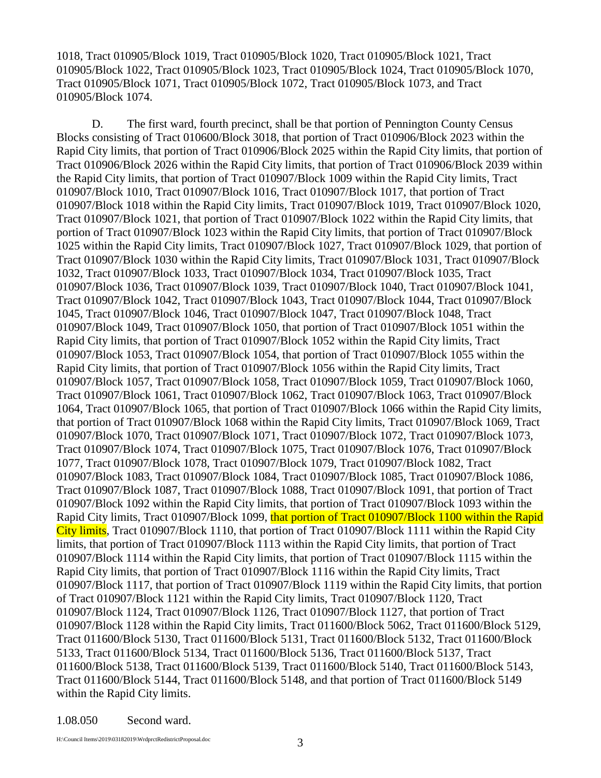1018, Tract 010905/Block 1019, Tract 010905/Block 1020, Tract 010905/Block 1021, Tract 010905/Block 1022, Tract 010905/Block 1023, Tract 010905/Block 1024, Tract 010905/Block 1070, Tract 010905/Block 1071, Tract 010905/Block 1072, Tract 010905/Block 1073, and Tract 010905/Block 1074.

D. The first ward, fourth precinct, shall be that portion of Pennington County Census Blocks consisting of Tract 010600/Block 3018, that portion of Tract 010906/Block 2023 within the Rapid City limits, that portion of Tract 010906/Block 2025 within the Rapid City limits, that portion of Tract 010906/Block 2026 within the Rapid City limits, that portion of Tract 010906/Block 2039 within the Rapid City limits, that portion of Tract 010907/Block 1009 within the Rapid City limits, Tract 010907/Block 1010, Tract 010907/Block 1016, Tract 010907/Block 1017, that portion of Tract 010907/Block 1018 within the Rapid City limits, Tract 010907/Block 1019, Tract 010907/Block 1020, Tract 010907/Block 1021, that portion of Tract 010907/Block 1022 within the Rapid City limits, that portion of Tract 010907/Block 1023 within the Rapid City limits, that portion of Tract 010907/Block 1025 within the Rapid City limits, Tract 010907/Block 1027, Tract 010907/Block 1029, that portion of Tract 010907/Block 1030 within the Rapid City limits, Tract 010907/Block 1031, Tract 010907/Block 1032, Tract 010907/Block 1033, Tract 010907/Block 1034, Tract 010907/Block 1035, Tract 010907/Block 1036, Tract 010907/Block 1039, Tract 010907/Block 1040, Tract 010907/Block 1041, Tract 010907/Block 1042, Tract 010907/Block 1043, Tract 010907/Block 1044, Tract 010907/Block 1045, Tract 010907/Block 1046, Tract 010907/Block 1047, Tract 010907/Block 1048, Tract 010907/Block 1049, Tract 010907/Block 1050, that portion of Tract 010907/Block 1051 within the Rapid City limits, that portion of Tract 010907/Block 1052 within the Rapid City limits, Tract 010907/Block 1053, Tract 010907/Block 1054, that portion of Tract 010907/Block 1055 within the Rapid City limits, that portion of Tract 010907/Block 1056 within the Rapid City limits, Tract 010907/Block 1057, Tract 010907/Block 1058, Tract 010907/Block 1059, Tract 010907/Block 1060, Tract 010907/Block 1061, Tract 010907/Block 1062, Tract 010907/Block 1063, Tract 010907/Block 1064, Tract 010907/Block 1065, that portion of Tract 010907/Block 1066 within the Rapid City limits, that portion of Tract 010907/Block 1068 within the Rapid City limits, Tract 010907/Block 1069, Tract 010907/Block 1070, Tract 010907/Block 1071, Tract 010907/Block 1072, Tract 010907/Block 1073, Tract 010907/Block 1074, Tract 010907/Block 1075, Tract 010907/Block 1076, Tract 010907/Block 1077, Tract 010907/Block 1078, Tract 010907/Block 1079, Tract 010907/Block 1082, Tract 010907/Block 1083, Tract 010907/Block 1084, Tract 010907/Block 1085, Tract 010907/Block 1086, Tract 010907/Block 1087, Tract 010907/Block 1088, Tract 010907/Block 1091, that portion of Tract 010907/Block 1092 within the Rapid City limits, that portion of Tract 010907/Block 1093 within the Rapid City limits, Tract 010907/Block 1099, that portion of Tract 010907/Block 1100 within the Rapid City limits, Tract 010907/Block 1110, that portion of Tract 010907/Block 1111 within the Rapid City limits, that portion of Tract 010907/Block 1113 within the Rapid City limits, that portion of Tract 010907/Block 1114 within the Rapid City limits, that portion of Tract 010907/Block 1115 within the Rapid City limits, that portion of Tract 010907/Block 1116 within the Rapid City limits, Tract 010907/Block 1117, that portion of Tract 010907/Block 1119 within the Rapid City limits, that portion of Tract 010907/Block 1121 within the Rapid City limits, Tract 010907/Block 1120, Tract 010907/Block 1124, Tract 010907/Block 1126, Tract 010907/Block 1127, that portion of Tract 010907/Block 1128 within the Rapid City limits, Tract 011600/Block 5062, Tract 011600/Block 5129, Tract 011600/Block 5130, Tract 011600/Block 5131, Tract 011600/Block 5132, Tract 011600/Block 5133, Tract 011600/Block 5134, Tract 011600/Block 5136, Tract 011600/Block 5137, Tract 011600/Block 5138, Tract 011600/Block 5139, Tract 011600/Block 5140, Tract 011600/Block 5143, Tract 011600/Block 5144, Tract 011600/Block 5148, and that portion of Tract 011600/Block 5149 within the Rapid City limits.

#### 1.08.050 Second ward.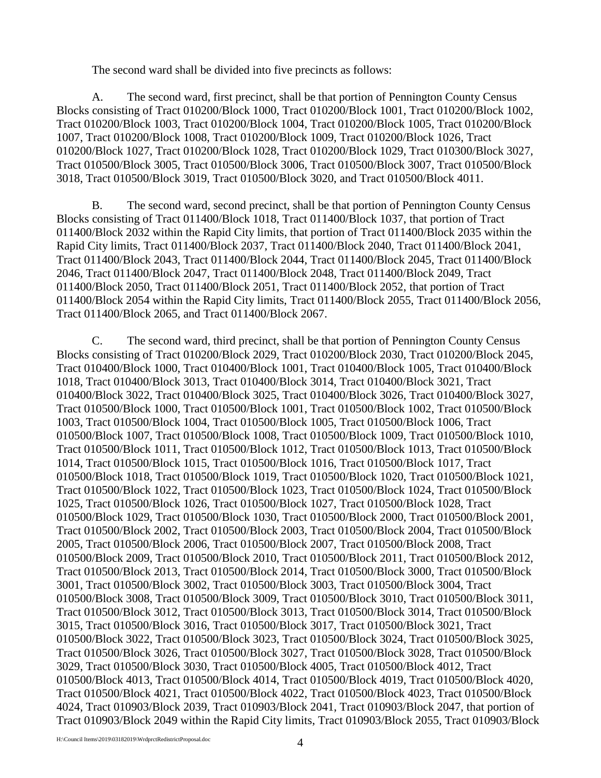The second ward shall be divided into five precincts as follows:

A. The second ward, first precinct, shall be that portion of Pennington County Census Blocks consisting of Tract 010200/Block 1000, Tract 010200/Block 1001, Tract 010200/Block 1002, Tract 010200/Block 1003, Tract 010200/Block 1004, Tract 010200/Block 1005, Tract 010200/Block 1007, Tract 010200/Block 1008, Tract 010200/Block 1009, Tract 010200/Block 1026, Tract 010200/Block 1027, Tract 010200/Block 1028, Tract 010200/Block 1029, Tract 010300/Block 3027, Tract 010500/Block 3005, Tract 010500/Block 3006, Tract 010500/Block 3007, Tract 010500/Block 3018, Tract 010500/Block 3019, Tract 010500/Block 3020, and Tract 010500/Block 4011.

B. The second ward, second precinct, shall be that portion of Pennington County Census Blocks consisting of Tract 011400/Block 1018, Tract 011400/Block 1037, that portion of Tract 011400/Block 2032 within the Rapid City limits, that portion of Tract 011400/Block 2035 within the Rapid City limits, Tract 011400/Block 2037, Tract 011400/Block 2040, Tract 011400/Block 2041, Tract 011400/Block 2043, Tract 011400/Block 2044, Tract 011400/Block 2045, Tract 011400/Block 2046, Tract 011400/Block 2047, Tract 011400/Block 2048, Tract 011400/Block 2049, Tract 011400/Block 2050, Tract 011400/Block 2051, Tract 011400/Block 2052, that portion of Tract 011400/Block 2054 within the Rapid City limits, Tract 011400/Block 2055, Tract 011400/Block 2056, Tract 011400/Block 2065, and Tract 011400/Block 2067.

C. The second ward, third precinct, shall be that portion of Pennington County Census Blocks consisting of Tract 010200/Block 2029, Tract 010200/Block 2030, Tract 010200/Block 2045, Tract 010400/Block 1000, Tract 010400/Block 1001, Tract 010400/Block 1005, Tract 010400/Block 1018, Tract 010400/Block 3013, Tract 010400/Block 3014, Tract 010400/Block 3021, Tract 010400/Block 3022, Tract 010400/Block 3025, Tract 010400/Block 3026, Tract 010400/Block 3027, Tract 010500/Block 1000, Tract 010500/Block 1001, Tract 010500/Block 1002, Tract 010500/Block 1003, Tract 010500/Block 1004, Tract 010500/Block 1005, Tract 010500/Block 1006, Tract 010500/Block 1007, Tract 010500/Block 1008, Tract 010500/Block 1009, Tract 010500/Block 1010, Tract 010500/Block 1011, Tract 010500/Block 1012, Tract 010500/Block 1013, Tract 010500/Block 1014, Tract 010500/Block 1015, Tract 010500/Block 1016, Tract 010500/Block 1017, Tract 010500/Block 1018, Tract 010500/Block 1019, Tract 010500/Block 1020, Tract 010500/Block 1021, Tract 010500/Block 1022, Tract 010500/Block 1023, Tract 010500/Block 1024, Tract 010500/Block 1025, Tract 010500/Block 1026, Tract 010500/Block 1027, Tract 010500/Block 1028, Tract 010500/Block 1029, Tract 010500/Block 1030, Tract 010500/Block 2000, Tract 010500/Block 2001, Tract 010500/Block 2002, Tract 010500/Block 2003, Tract 010500/Block 2004, Tract 010500/Block 2005, Tract 010500/Block 2006, Tract 010500/Block 2007, Tract 010500/Block 2008, Tract 010500/Block 2009, Tract 010500/Block 2010, Tract 010500/Block 2011, Tract 010500/Block 2012, Tract 010500/Block 2013, Tract 010500/Block 2014, Tract 010500/Block 3000, Tract 010500/Block 3001, Tract 010500/Block 3002, Tract 010500/Block 3003, Tract 010500/Block 3004, Tract 010500/Block 3008, Tract 010500/Block 3009, Tract 010500/Block 3010, Tract 010500/Block 3011, Tract 010500/Block 3012, Tract 010500/Block 3013, Tract 010500/Block 3014, Tract 010500/Block 3015, Tract 010500/Block 3016, Tract 010500/Block 3017, Tract 010500/Block 3021, Tract 010500/Block 3022, Tract 010500/Block 3023, Tract 010500/Block 3024, Tract 010500/Block 3025, Tract 010500/Block 3026, Tract 010500/Block 3027, Tract 010500/Block 3028, Tract 010500/Block 3029, Tract 010500/Block 3030, Tract 010500/Block 4005, Tract 010500/Block 4012, Tract 010500/Block 4013, Tract 010500/Block 4014, Tract 010500/Block 4019, Tract 010500/Block 4020, Tract 010500/Block 4021, Tract 010500/Block 4022, Tract 010500/Block 4023, Tract 010500/Block 4024, Tract 010903/Block 2039, Tract 010903/Block 2041, Tract 010903/Block 2047, that portion of Tract 010903/Block 2049 within the Rapid City limits, Tract 010903/Block 2055, Tract 010903/Block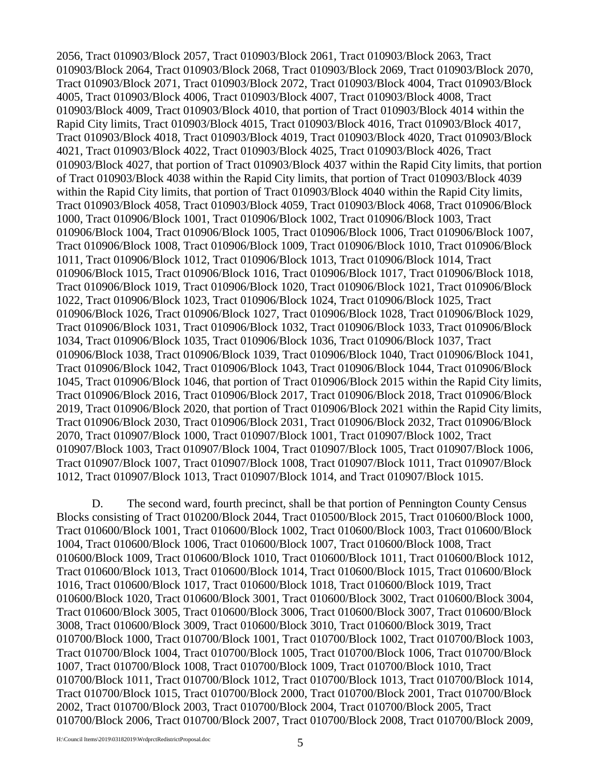2056, Tract 010903/Block 2057, Tract 010903/Block 2061, Tract 010903/Block 2063, Tract 010903/Block 2064, Tract 010903/Block 2068, Tract 010903/Block 2069, Tract 010903/Block 2070, Tract 010903/Block 2071, Tract 010903/Block 2072, Tract 010903/Block 4004, Tract 010903/Block 4005, Tract 010903/Block 4006, Tract 010903/Block 4007, Tract 010903/Block 4008, Tract 010903/Block 4009, Tract 010903/Block 4010, that portion of Tract 010903/Block 4014 within the Rapid City limits, Tract 010903/Block 4015, Tract 010903/Block 4016, Tract 010903/Block 4017, Tract 010903/Block 4018, Tract 010903/Block 4019, Tract 010903/Block 4020, Tract 010903/Block 4021, Tract 010903/Block 4022, Tract 010903/Block 4025, Tract 010903/Block 4026, Tract 010903/Block 4027, that portion of Tract 010903/Block 4037 within the Rapid City limits, that portion of Tract 010903/Block 4038 within the Rapid City limits, that portion of Tract 010903/Block 4039 within the Rapid City limits, that portion of Tract 010903/Block 4040 within the Rapid City limits, Tract 010903/Block 4058, Tract 010903/Block 4059, Tract 010903/Block 4068, Tract 010906/Block 1000, Tract 010906/Block 1001, Tract 010906/Block 1002, Tract 010906/Block 1003, Tract 010906/Block 1004, Tract 010906/Block 1005, Tract 010906/Block 1006, Tract 010906/Block 1007, Tract 010906/Block 1008, Tract 010906/Block 1009, Tract 010906/Block 1010, Tract 010906/Block 1011, Tract 010906/Block 1012, Tract 010906/Block 1013, Tract 010906/Block 1014, Tract 010906/Block 1015, Tract 010906/Block 1016, Tract 010906/Block 1017, Tract 010906/Block 1018, Tract 010906/Block 1019, Tract 010906/Block 1020, Tract 010906/Block 1021, Tract 010906/Block 1022, Tract 010906/Block 1023, Tract 010906/Block 1024, Tract 010906/Block 1025, Tract 010906/Block 1026, Tract 010906/Block 1027, Tract 010906/Block 1028, Tract 010906/Block 1029, Tract 010906/Block 1031, Tract 010906/Block 1032, Tract 010906/Block 1033, Tract 010906/Block 1034, Tract 010906/Block 1035, Tract 010906/Block 1036, Tract 010906/Block 1037, Tract 010906/Block 1038, Tract 010906/Block 1039, Tract 010906/Block 1040, Tract 010906/Block 1041, Tract 010906/Block 1042, Tract 010906/Block 1043, Tract 010906/Block 1044, Tract 010906/Block 1045, Tract 010906/Block 1046, that portion of Tract 010906/Block 2015 within the Rapid City limits, Tract 010906/Block 2016, Tract 010906/Block 2017, Tract 010906/Block 2018, Tract 010906/Block 2019, Tract 010906/Block 2020, that portion of Tract 010906/Block 2021 within the Rapid City limits, Tract 010906/Block 2030, Tract 010906/Block 2031, Tract 010906/Block 2032, Tract 010906/Block 2070, Tract 010907/Block 1000, Tract 010907/Block 1001, Tract 010907/Block 1002, Tract 010907/Block 1003, Tract 010907/Block 1004, Tract 010907/Block 1005, Tract 010907/Block 1006, Tract 010907/Block 1007, Tract 010907/Block 1008, Tract 010907/Block 1011, Tract 010907/Block 1012, Tract 010907/Block 1013, Tract 010907/Block 1014, and Tract 010907/Block 1015.

D. The second ward, fourth precinct, shall be that portion of Pennington County Census Blocks consisting of Tract 010200/Block 2044, Tract 010500/Block 2015, Tract 010600/Block 1000, Tract 010600/Block 1001, Tract 010600/Block 1002, Tract 010600/Block 1003, Tract 010600/Block 1004, Tract 010600/Block 1006, Tract 010600/Block 1007, Tract 010600/Block 1008, Tract 010600/Block 1009, Tract 010600/Block 1010, Tract 010600/Block 1011, Tract 010600/Block 1012, Tract 010600/Block 1013, Tract 010600/Block 1014, Tract 010600/Block 1015, Tract 010600/Block 1016, Tract 010600/Block 1017, Tract 010600/Block 1018, Tract 010600/Block 1019, Tract 010600/Block 1020, Tract 010600/Block 3001, Tract 010600/Block 3002, Tract 010600/Block 3004, Tract 010600/Block 3005, Tract 010600/Block 3006, Tract 010600/Block 3007, Tract 010600/Block 3008, Tract 010600/Block 3009, Tract 010600/Block 3010, Tract 010600/Block 3019, Tract 010700/Block 1000, Tract 010700/Block 1001, Tract 010700/Block 1002, Tract 010700/Block 1003, Tract 010700/Block 1004, Tract 010700/Block 1005, Tract 010700/Block 1006, Tract 010700/Block 1007, Tract 010700/Block 1008, Tract 010700/Block 1009, Tract 010700/Block 1010, Tract 010700/Block 1011, Tract 010700/Block 1012, Tract 010700/Block 1013, Tract 010700/Block 1014, Tract 010700/Block 1015, Tract 010700/Block 2000, Tract 010700/Block 2001, Tract 010700/Block 2002, Tract 010700/Block 2003, Tract 010700/Block 2004, Tract 010700/Block 2005, Tract 010700/Block 2006, Tract 010700/Block 2007, Tract 010700/Block 2008, Tract 010700/Block 2009,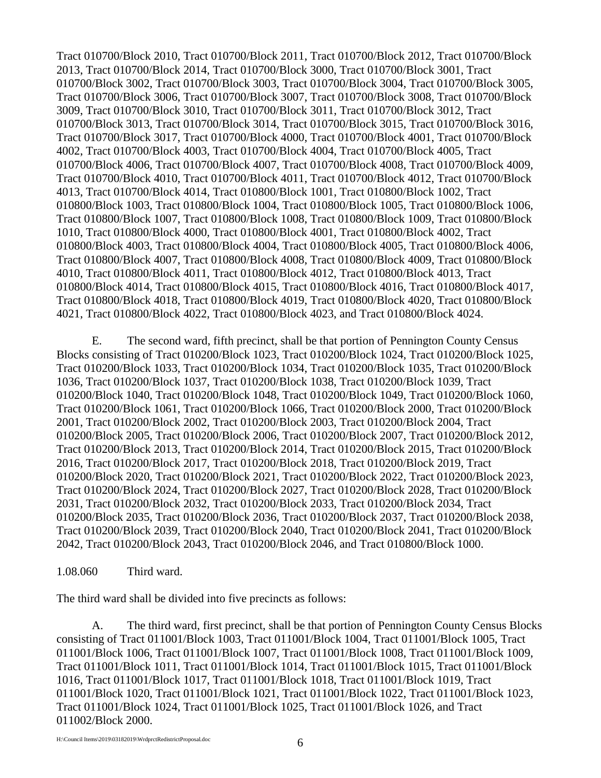Tract 010700/Block 2010, Tract 010700/Block 2011, Tract 010700/Block 2012, Tract 010700/Block 2013, Tract 010700/Block 2014, Tract 010700/Block 3000, Tract 010700/Block 3001, Tract 010700/Block 3002, Tract 010700/Block 3003, Tract 010700/Block 3004, Tract 010700/Block 3005, Tract 010700/Block 3006, Tract 010700/Block 3007, Tract 010700/Block 3008, Tract 010700/Block 3009, Tract 010700/Block 3010, Tract 010700/Block 3011, Tract 010700/Block 3012, Tract 010700/Block 3013, Tract 010700/Block 3014, Tract 010700/Block 3015, Tract 010700/Block 3016, Tract 010700/Block 3017, Tract 010700/Block 4000, Tract 010700/Block 4001, Tract 010700/Block 4002, Tract 010700/Block 4003, Tract 010700/Block 4004, Tract 010700/Block 4005, Tract 010700/Block 4006, Tract 010700/Block 4007, Tract 010700/Block 4008, Tract 010700/Block 4009, Tract 010700/Block 4010, Tract 010700/Block 4011, Tract 010700/Block 4012, Tract 010700/Block 4013, Tract 010700/Block 4014, Tract 010800/Block 1001, Tract 010800/Block 1002, Tract 010800/Block 1003, Tract 010800/Block 1004, Tract 010800/Block 1005, Tract 010800/Block 1006, Tract 010800/Block 1007, Tract 010800/Block 1008, Tract 010800/Block 1009, Tract 010800/Block 1010, Tract 010800/Block 4000, Tract 010800/Block 4001, Tract 010800/Block 4002, Tract 010800/Block 4003, Tract 010800/Block 4004, Tract 010800/Block 4005, Tract 010800/Block 4006, Tract 010800/Block 4007, Tract 010800/Block 4008, Tract 010800/Block 4009, Tract 010800/Block 4010, Tract 010800/Block 4011, Tract 010800/Block 4012, Tract 010800/Block 4013, Tract 010800/Block 4014, Tract 010800/Block 4015, Tract 010800/Block 4016, Tract 010800/Block 4017, Tract 010800/Block 4018, Tract 010800/Block 4019, Tract 010800/Block 4020, Tract 010800/Block 4021, Tract 010800/Block 4022, Tract 010800/Block 4023, and Tract 010800/Block 4024.

E. The second ward, fifth precinct, shall be that portion of Pennington County Census Blocks consisting of Tract 010200/Block 1023, Tract 010200/Block 1024, Tract 010200/Block 1025, Tract 010200/Block 1033, Tract 010200/Block 1034, Tract 010200/Block 1035, Tract 010200/Block 1036, Tract 010200/Block 1037, Tract 010200/Block 1038, Tract 010200/Block 1039, Tract 010200/Block 1040, Tract 010200/Block 1048, Tract 010200/Block 1049, Tract 010200/Block 1060, Tract 010200/Block 1061, Tract 010200/Block 1066, Tract 010200/Block 2000, Tract 010200/Block 2001, Tract 010200/Block 2002, Tract 010200/Block 2003, Tract 010200/Block 2004, Tract 010200/Block 2005, Tract 010200/Block 2006, Tract 010200/Block 2007, Tract 010200/Block 2012, Tract 010200/Block 2013, Tract 010200/Block 2014, Tract 010200/Block 2015, Tract 010200/Block 2016, Tract 010200/Block 2017, Tract 010200/Block 2018, Tract 010200/Block 2019, Tract 010200/Block 2020, Tract 010200/Block 2021, Tract 010200/Block 2022, Tract 010200/Block 2023, Tract 010200/Block 2024, Tract 010200/Block 2027, Tract 010200/Block 2028, Tract 010200/Block 2031, Tract 010200/Block 2032, Tract 010200/Block 2033, Tract 010200/Block 2034, Tract 010200/Block 2035, Tract 010200/Block 2036, Tract 010200/Block 2037, Tract 010200/Block 2038, Tract 010200/Block 2039, Tract 010200/Block 2040, Tract 010200/Block 2041, Tract 010200/Block 2042, Tract 010200/Block 2043, Tract 010200/Block 2046, and Tract 010800/Block 1000.

1.08.060 Third ward.

The third ward shall be divided into five precincts as follows:

A. The third ward, first precinct, shall be that portion of Pennington County Census Blocks consisting of Tract 011001/Block 1003, Tract 011001/Block 1004, Tract 011001/Block 1005, Tract 011001/Block 1006, Tract 011001/Block 1007, Tract 011001/Block 1008, Tract 011001/Block 1009, Tract 011001/Block 1011, Tract 011001/Block 1014, Tract 011001/Block 1015, Tract 011001/Block 1016, Tract 011001/Block 1017, Tract 011001/Block 1018, Tract 011001/Block 1019, Tract 011001/Block 1020, Tract 011001/Block 1021, Tract 011001/Block 1022, Tract 011001/Block 1023, Tract 011001/Block 1024, Tract 011001/Block 1025, Tract 011001/Block 1026, and Tract 011002/Block 2000.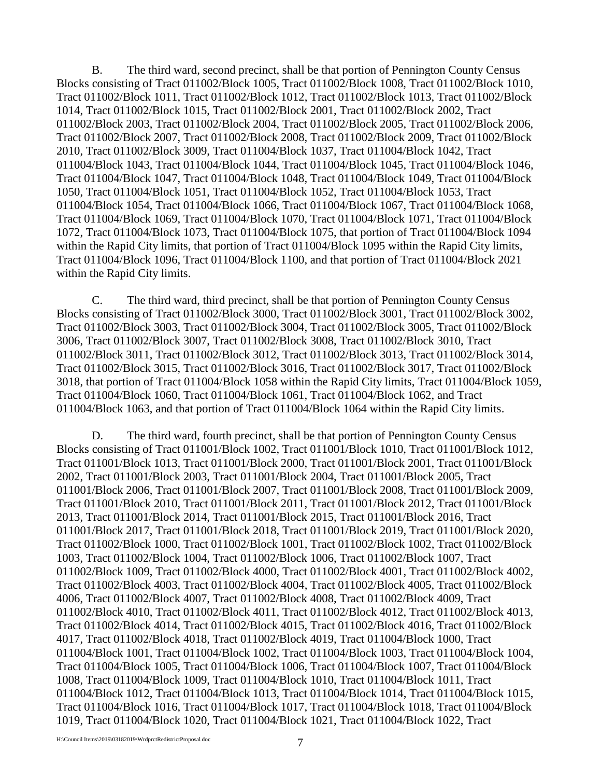B. The third ward, second precinct, shall be that portion of Pennington County Census Blocks consisting of Tract 011002/Block 1005, Tract 011002/Block 1008, Tract 011002/Block 1010, Tract 011002/Block 1011, Tract 011002/Block 1012, Tract 011002/Block 1013, Tract 011002/Block 1014, Tract 011002/Block 1015, Tract 011002/Block 2001, Tract 011002/Block 2002, Tract 011002/Block 2003, Tract 011002/Block 2004, Tract 011002/Block 2005, Tract 011002/Block 2006, Tract 011002/Block 2007, Tract 011002/Block 2008, Tract 011002/Block 2009, Tract 011002/Block 2010, Tract 011002/Block 3009, Tract 011004/Block 1037, Tract 011004/Block 1042, Tract 011004/Block 1043, Tract 011004/Block 1044, Tract 011004/Block 1045, Tract 011004/Block 1046, Tract 011004/Block 1047, Tract 011004/Block 1048, Tract 011004/Block 1049, Tract 011004/Block 1050, Tract 011004/Block 1051, Tract 011004/Block 1052, Tract 011004/Block 1053, Tract 011004/Block 1054, Tract 011004/Block 1066, Tract 011004/Block 1067, Tract 011004/Block 1068, Tract 011004/Block 1069, Tract 011004/Block 1070, Tract 011004/Block 1071, Tract 011004/Block 1072, Tract 011004/Block 1073, Tract 011004/Block 1075, that portion of Tract 011004/Block 1094 within the Rapid City limits, that portion of Tract 011004/Block 1095 within the Rapid City limits, Tract 011004/Block 1096, Tract 011004/Block 1100, and that portion of Tract 011004/Block 2021 within the Rapid City limits.

C. The third ward, third precinct, shall be that portion of Pennington County Census Blocks consisting of Tract 011002/Block 3000, Tract 011002/Block 3001, Tract 011002/Block 3002, Tract 011002/Block 3003, Tract 011002/Block 3004, Tract 011002/Block 3005, Tract 011002/Block 3006, Tract 011002/Block 3007, Tract 011002/Block 3008, Tract 011002/Block 3010, Tract 011002/Block 3011, Tract 011002/Block 3012, Tract 011002/Block 3013, Tract 011002/Block 3014, Tract 011002/Block 3015, Tract 011002/Block 3016, Tract 011002/Block 3017, Tract 011002/Block 3018, that portion of Tract 011004/Block 1058 within the Rapid City limits, Tract 011004/Block 1059, Tract 011004/Block 1060, Tract 011004/Block 1061, Tract 011004/Block 1062, and Tract 011004/Block 1063, and that portion of Tract 011004/Block 1064 within the Rapid City limits.

D. The third ward, fourth precinct, shall be that portion of Pennington County Census Blocks consisting of Tract 011001/Block 1002, Tract 011001/Block 1010, Tract 011001/Block 1012, Tract 011001/Block 1013, Tract 011001/Block 2000, Tract 011001/Block 2001, Tract 011001/Block 2002, Tract 011001/Block 2003, Tract 011001/Block 2004, Tract 011001/Block 2005, Tract 011001/Block 2006, Tract 011001/Block 2007, Tract 011001/Block 2008, Tract 011001/Block 2009, Tract 011001/Block 2010, Tract 011001/Block 2011, Tract 011001/Block 2012, Tract 011001/Block 2013, Tract 011001/Block 2014, Tract 011001/Block 2015, Tract 011001/Block 2016, Tract 011001/Block 2017, Tract 011001/Block 2018, Tract 011001/Block 2019, Tract 011001/Block 2020, Tract 011002/Block 1000, Tract 011002/Block 1001, Tract 011002/Block 1002, Tract 011002/Block 1003, Tract 011002/Block 1004, Tract 011002/Block 1006, Tract 011002/Block 1007, Tract 011002/Block 1009, Tract 011002/Block 4000, Tract 011002/Block 4001, Tract 011002/Block 4002, Tract 011002/Block 4003, Tract 011002/Block 4004, Tract 011002/Block 4005, Tract 011002/Block 4006, Tract 011002/Block 4007, Tract 011002/Block 4008, Tract 011002/Block 4009, Tract 011002/Block 4010, Tract 011002/Block 4011, Tract 011002/Block 4012, Tract 011002/Block 4013, Tract 011002/Block 4014, Tract 011002/Block 4015, Tract 011002/Block 4016, Tract 011002/Block 4017, Tract 011002/Block 4018, Tract 011002/Block 4019, Tract 011004/Block 1000, Tract 011004/Block 1001, Tract 011004/Block 1002, Tract 011004/Block 1003, Tract 011004/Block 1004, Tract 011004/Block 1005, Tract 011004/Block 1006, Tract 011004/Block 1007, Tract 011004/Block 1008, Tract 011004/Block 1009, Tract 011004/Block 1010, Tract 011004/Block 1011, Tract 011004/Block 1012, Tract 011004/Block 1013, Tract 011004/Block 1014, Tract 011004/Block 1015, Tract 011004/Block 1016, Tract 011004/Block 1017, Tract 011004/Block 1018, Tract 011004/Block 1019, Tract 011004/Block 1020, Tract 011004/Block 1021, Tract 011004/Block 1022, Tract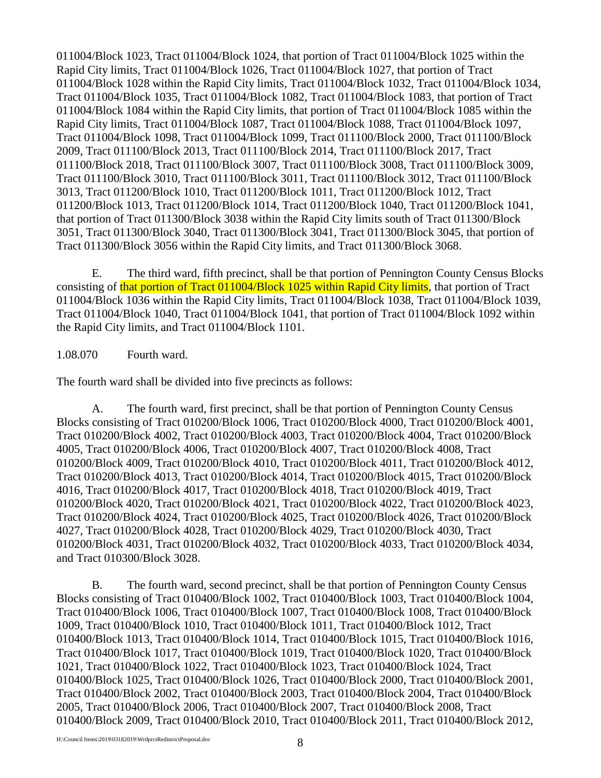011004/Block 1023, Tract 011004/Block 1024, that portion of Tract 011004/Block 1025 within the Rapid City limits, Tract 011004/Block 1026, Tract 011004/Block 1027, that portion of Tract 011004/Block 1028 within the Rapid City limits, Tract 011004/Block 1032, Tract 011004/Block 1034, Tract 011004/Block 1035, Tract 011004/Block 1082, Tract 011004/Block 1083, that portion of Tract 011004/Block 1084 within the Rapid City limits, that portion of Tract 011004/Block 1085 within the Rapid City limits, Tract 011004/Block 1087, Tract 011004/Block 1088, Tract 011004/Block 1097, Tract 011004/Block 1098, Tract 011004/Block 1099, Tract 011100/Block 2000, Tract 011100/Block 2009, Tract 011100/Block 2013, Tract 011100/Block 2014, Tract 011100/Block 2017, Tract 011100/Block 2018, Tract 011100/Block 3007, Tract 011100/Block 3008, Tract 011100/Block 3009, Tract 011100/Block 3010, Tract 011100/Block 3011, Tract 011100/Block 3012, Tract 011100/Block 3013, Tract 011200/Block 1010, Tract 011200/Block 1011, Tract 011200/Block 1012, Tract 011200/Block 1013, Tract 011200/Block 1014, Tract 011200/Block 1040, Tract 011200/Block 1041, that portion of Tract 011300/Block 3038 within the Rapid City limits south of Tract 011300/Block 3051, Tract 011300/Block 3040, Tract 011300/Block 3041, Tract 011300/Block 3045, that portion of Tract 011300/Block 3056 within the Rapid City limits, and Tract 011300/Block 3068.

E. The third ward, fifth precinct, shall be that portion of Pennington County Census Blocks consisting of that portion of Tract 011004/Block 1025 within Rapid City limits, that portion of Tract 011004/Block 1036 within the Rapid City limits, Tract 011004/Block 1038, Tract 011004/Block 1039, Tract 011004/Block 1040, Tract 011004/Block 1041, that portion of Tract 011004/Block 1092 within the Rapid City limits, and Tract 011004/Block 1101.

1.08.070 Fourth ward.

The fourth ward shall be divided into five precincts as follows:

A. The fourth ward, first precinct, shall be that portion of Pennington County Census Blocks consisting of Tract 010200/Block 1006, Tract 010200/Block 4000, Tract 010200/Block 4001, Tract 010200/Block 4002, Tract 010200/Block 4003, Tract 010200/Block 4004, Tract 010200/Block 4005, Tract 010200/Block 4006, Tract 010200/Block 4007, Tract 010200/Block 4008, Tract 010200/Block 4009, Tract 010200/Block 4010, Tract 010200/Block 4011, Tract 010200/Block 4012, Tract 010200/Block 4013, Tract 010200/Block 4014, Tract 010200/Block 4015, Tract 010200/Block 4016, Tract 010200/Block 4017, Tract 010200/Block 4018, Tract 010200/Block 4019, Tract 010200/Block 4020, Tract 010200/Block 4021, Tract 010200/Block 4022, Tract 010200/Block 4023, Tract 010200/Block 4024, Tract 010200/Block 4025, Tract 010200/Block 4026, Tract 010200/Block 4027, Tract 010200/Block 4028, Tract 010200/Block 4029, Tract 010200/Block 4030, Tract 010200/Block 4031, Tract 010200/Block 4032, Tract 010200/Block 4033, Tract 010200/Block 4034, and Tract 010300/Block 3028.

B. The fourth ward, second precinct, shall be that portion of Pennington County Census Blocks consisting of Tract 010400/Block 1002, Tract 010400/Block 1003, Tract 010400/Block 1004, Tract 010400/Block 1006, Tract 010400/Block 1007, Tract 010400/Block 1008, Tract 010400/Block 1009, Tract 010400/Block 1010, Tract 010400/Block 1011, Tract 010400/Block 1012, Tract 010400/Block 1013, Tract 010400/Block 1014, Tract 010400/Block 1015, Tract 010400/Block 1016, Tract 010400/Block 1017, Tract 010400/Block 1019, Tract 010400/Block 1020, Tract 010400/Block 1021, Tract 010400/Block 1022, Tract 010400/Block 1023, Tract 010400/Block 1024, Tract 010400/Block 1025, Tract 010400/Block 1026, Tract 010400/Block 2000, Tract 010400/Block 2001, Tract 010400/Block 2002, Tract 010400/Block 2003, Tract 010400/Block 2004, Tract 010400/Block 2005, Tract 010400/Block 2006, Tract 010400/Block 2007, Tract 010400/Block 2008, Tract 010400/Block 2009, Tract 010400/Block 2010, Tract 010400/Block 2011, Tract 010400/Block 2012,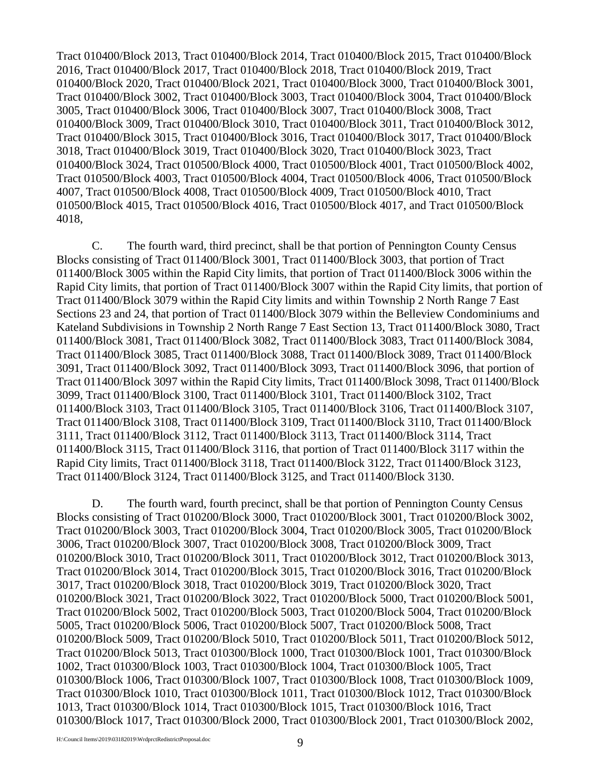Tract 010400/Block 2013, Tract 010400/Block 2014, Tract 010400/Block 2015, Tract 010400/Block 2016, Tract 010400/Block 2017, Tract 010400/Block 2018, Tract 010400/Block 2019, Tract 010400/Block 2020, Tract 010400/Block 2021, Tract 010400/Block 3000, Tract 010400/Block 3001, Tract 010400/Block 3002, Tract 010400/Block 3003, Tract 010400/Block 3004, Tract 010400/Block 3005, Tract 010400/Block 3006, Tract 010400/Block 3007, Tract 010400/Block 3008, Tract 010400/Block 3009, Tract 010400/Block 3010, Tract 010400/Block 3011, Tract 010400/Block 3012, Tract 010400/Block 3015, Tract 010400/Block 3016, Tract 010400/Block 3017, Tract 010400/Block 3018, Tract 010400/Block 3019, Tract 010400/Block 3020, Tract 010400/Block 3023, Tract 010400/Block 3024, Tract 010500/Block 4000, Tract 010500/Block 4001, Tract 010500/Block 4002, Tract 010500/Block 4003, Tract 010500/Block 4004, Tract 010500/Block 4006, Tract 010500/Block 4007, Tract 010500/Block 4008, Tract 010500/Block 4009, Tract 010500/Block 4010, Tract 010500/Block 4015, Tract 010500/Block 4016, Tract 010500/Block 4017, and Tract 010500/Block 4018,

C. The fourth ward, third precinct, shall be that portion of Pennington County Census Blocks consisting of Tract 011400/Block 3001, Tract 011400/Block 3003, that portion of Tract 011400/Block 3005 within the Rapid City limits, that portion of Tract 011400/Block 3006 within the Rapid City limits, that portion of Tract 011400/Block 3007 within the Rapid City limits, that portion of Tract 011400/Block 3079 within the Rapid City limits and within Township 2 North Range 7 East Sections 23 and 24, that portion of Tract 011400/Block 3079 within the Belleview Condominiums and Kateland Subdivisions in Township 2 North Range 7 East Section 13, Tract 011400/Block 3080, Tract 011400/Block 3081, Tract 011400/Block 3082, Tract 011400/Block 3083, Tract 011400/Block 3084, Tract 011400/Block 3085, Tract 011400/Block 3088, Tract 011400/Block 3089, Tract 011400/Block 3091, Tract 011400/Block 3092, Tract 011400/Block 3093, Tract 011400/Block 3096, that portion of Tract 011400/Block 3097 within the Rapid City limits, Tract 011400/Block 3098, Tract 011400/Block 3099, Tract 011400/Block 3100, Tract 011400/Block 3101, Tract 011400/Block 3102, Tract 011400/Block 3103, Tract 011400/Block 3105, Tract 011400/Block 3106, Tract 011400/Block 3107, Tract 011400/Block 3108, Tract 011400/Block 3109, Tract 011400/Block 3110, Tract 011400/Block 3111, Tract 011400/Block 3112, Tract 011400/Block 3113, Tract 011400/Block 3114, Tract 011400/Block 3115, Tract 011400/Block 3116, that portion of Tract 011400/Block 3117 within the Rapid City limits, Tract 011400/Block 3118, Tract 011400/Block 3122, Tract 011400/Block 3123, Tract 011400/Block 3124, Tract 011400/Block 3125, and Tract 011400/Block 3130.

D. The fourth ward, fourth precinct, shall be that portion of Pennington County Census Blocks consisting of Tract 010200/Block 3000, Tract 010200/Block 3001, Tract 010200/Block 3002, Tract 010200/Block 3003, Tract 010200/Block 3004, Tract 010200/Block 3005, Tract 010200/Block 3006, Tract 010200/Block 3007, Tract 010200/Block 3008, Tract 010200/Block 3009, Tract 010200/Block 3010, Tract 010200/Block 3011, Tract 010200/Block 3012, Tract 010200/Block 3013, Tract 010200/Block 3014, Tract 010200/Block 3015, Tract 010200/Block 3016, Tract 010200/Block 3017, Tract 010200/Block 3018, Tract 010200/Block 3019, Tract 010200/Block 3020, Tract 010200/Block 3021, Tract 010200/Block 3022, Tract 010200/Block 5000, Tract 010200/Block 5001, Tract 010200/Block 5002, Tract 010200/Block 5003, Tract 010200/Block 5004, Tract 010200/Block 5005, Tract 010200/Block 5006, Tract 010200/Block 5007, Tract 010200/Block 5008, Tract 010200/Block 5009, Tract 010200/Block 5010, Tract 010200/Block 5011, Tract 010200/Block 5012, Tract 010200/Block 5013, Tract 010300/Block 1000, Tract 010300/Block 1001, Tract 010300/Block 1002, Tract 010300/Block 1003, Tract 010300/Block 1004, Tract 010300/Block 1005, Tract 010300/Block 1006, Tract 010300/Block 1007, Tract 010300/Block 1008, Tract 010300/Block 1009, Tract 010300/Block 1010, Tract 010300/Block 1011, Tract 010300/Block 1012, Tract 010300/Block 1013, Tract 010300/Block 1014, Tract 010300/Block 1015, Tract 010300/Block 1016, Tract 010300/Block 1017, Tract 010300/Block 2000, Tract 010300/Block 2001, Tract 010300/Block 2002,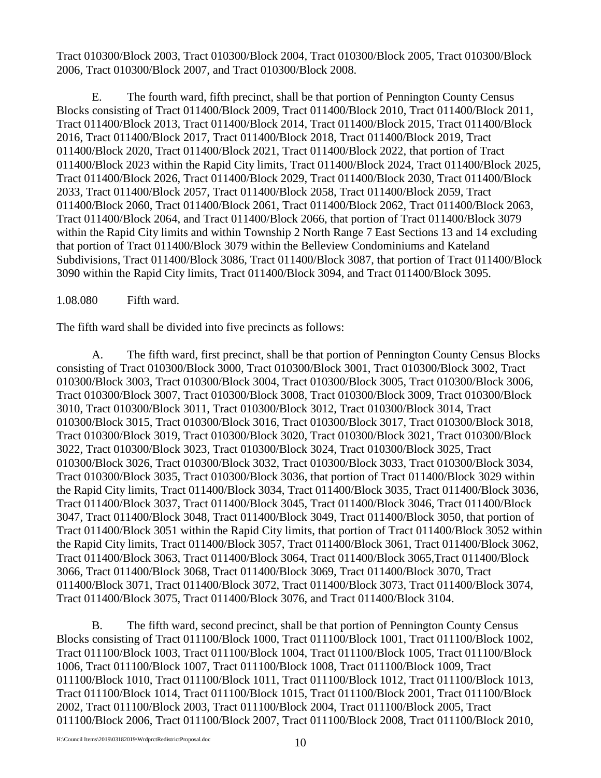Tract 010300/Block 2003, Tract 010300/Block 2004, Tract 010300/Block 2005, Tract 010300/Block 2006, Tract 010300/Block 2007, and Tract 010300/Block 2008.

E. The fourth ward, fifth precinct, shall be that portion of Pennington County Census Blocks consisting of Tract 011400/Block 2009, Tract 011400/Block 2010, Tract 011400/Block 2011, Tract 011400/Block 2013, Tract 011400/Block 2014, Tract 011400/Block 2015, Tract 011400/Block 2016, Tract 011400/Block 2017, Tract 011400/Block 2018, Tract 011400/Block 2019, Tract 011400/Block 2020, Tract 011400/Block 2021, Tract 011400/Block 2022, that portion of Tract 011400/Block 2023 within the Rapid City limits, Tract 011400/Block 2024, Tract 011400/Block 2025, Tract 011400/Block 2026, Tract 011400/Block 2029, Tract 011400/Block 2030, Tract 011400/Block 2033, Tract 011400/Block 2057, Tract 011400/Block 2058, Tract 011400/Block 2059, Tract 011400/Block 2060, Tract 011400/Block 2061, Tract 011400/Block 2062, Tract 011400/Block 2063, Tract 011400/Block 2064, and Tract 011400/Block 2066, that portion of Tract 011400/Block 3079 within the Rapid City limits and within Township 2 North Range 7 East Sections 13 and 14 excluding that portion of Tract 011400/Block 3079 within the Belleview Condominiums and Kateland Subdivisions, Tract 011400/Block 3086, Tract 011400/Block 3087, that portion of Tract 011400/Block 3090 within the Rapid City limits, Tract 011400/Block 3094, and Tract 011400/Block 3095.

1.08.080 Fifth ward.

The fifth ward shall be divided into five precincts as follows:

A. The fifth ward, first precinct, shall be that portion of Pennington County Census Blocks consisting of Tract 010300/Block 3000, Tract 010300/Block 3001, Tract 010300/Block 3002, Tract 010300/Block 3003, Tract 010300/Block 3004, Tract 010300/Block 3005, Tract 010300/Block 3006, Tract 010300/Block 3007, Tract 010300/Block 3008, Tract 010300/Block 3009, Tract 010300/Block 3010, Tract 010300/Block 3011, Tract 010300/Block 3012, Tract 010300/Block 3014, Tract 010300/Block 3015, Tract 010300/Block 3016, Tract 010300/Block 3017, Tract 010300/Block 3018, Tract 010300/Block 3019, Tract 010300/Block 3020, Tract 010300/Block 3021, Tract 010300/Block 3022, Tract 010300/Block 3023, Tract 010300/Block 3024, Tract 010300/Block 3025, Tract 010300/Block 3026, Tract 010300/Block 3032, Tract 010300/Block 3033, Tract 010300/Block 3034, Tract 010300/Block 3035, Tract 010300/Block 3036, that portion of Tract 011400/Block 3029 within the Rapid City limits, Tract 011400/Block 3034, Tract 011400/Block 3035, Tract 011400/Block 3036, Tract 011400/Block 3037, Tract 011400/Block 3045, Tract 011400/Block 3046, Tract 011400/Block 3047, Tract 011400/Block 3048, Tract 011400/Block 3049, Tract 011400/Block 3050, that portion of Tract 011400/Block 3051 within the Rapid City limits, that portion of Tract 011400/Block 3052 within the Rapid City limits, Tract 011400/Block 3057, Tract 011400/Block 3061, Tract 011400/Block 3062, Tract 011400/Block 3063, Tract 011400/Block 3064, Tract 011400/Block 3065,Tract 011400/Block 3066, Tract 011400/Block 3068, Tract 011400/Block 3069, Tract 011400/Block 3070, Tract 011400/Block 3071, Tract 011400/Block 3072, Tract 011400/Block 3073, Tract 011400/Block 3074, Tract 011400/Block 3075, Tract 011400/Block 3076, and Tract 011400/Block 3104.

B. The fifth ward, second precinct, shall be that portion of Pennington County Census Blocks consisting of Tract 011100/Block 1000, Tract 011100/Block 1001, Tract 011100/Block 1002, Tract 011100/Block 1003, Tract 011100/Block 1004, Tract 011100/Block 1005, Tract 011100/Block 1006, Tract 011100/Block 1007, Tract 011100/Block 1008, Tract 011100/Block 1009, Tract 011100/Block 1010, Tract 011100/Block 1011, Tract 011100/Block 1012, Tract 011100/Block 1013, Tract 011100/Block 1014, Tract 011100/Block 1015, Tract 011100/Block 2001, Tract 011100/Block 2002, Tract 011100/Block 2003, Tract 011100/Block 2004, Tract 011100/Block 2005, Tract 011100/Block 2006, Tract 011100/Block 2007, Tract 011100/Block 2008, Tract 011100/Block 2010,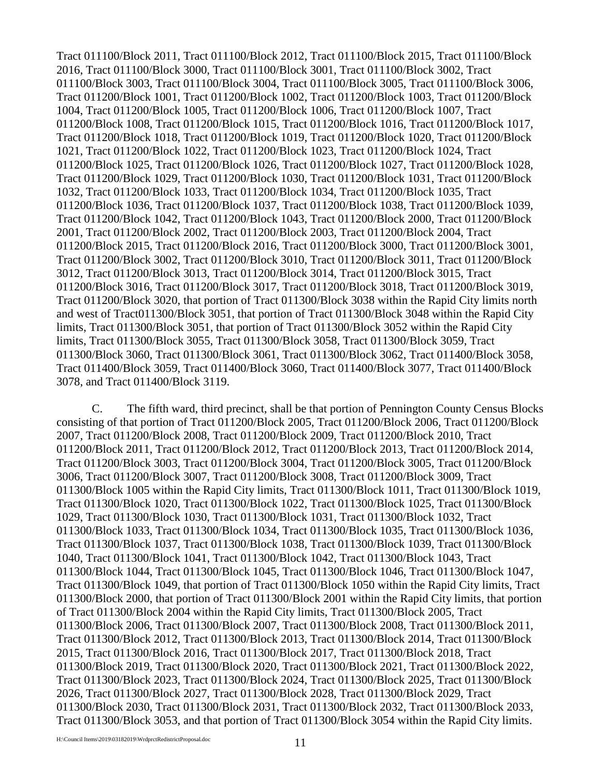Tract 011100/Block 2011, Tract 011100/Block 2012, Tract 011100/Block 2015, Tract 011100/Block 2016, Tract 011100/Block 3000, Tract 011100/Block 3001, Tract 011100/Block 3002, Tract 011100/Block 3003, Tract 011100/Block 3004, Tract 011100/Block 3005, Tract 011100/Block 3006, Tract 011200/Block 1001, Tract 011200/Block 1002, Tract 011200/Block 1003, Tract 011200/Block 1004, Tract 011200/Block 1005, Tract 011200/Block 1006, Tract 011200/Block 1007, Tract 011200/Block 1008, Tract 011200/Block 1015, Tract 011200/Block 1016, Tract 011200/Block 1017, Tract 011200/Block 1018, Tract 011200/Block 1019, Tract 011200/Block 1020, Tract 011200/Block 1021, Tract 011200/Block 1022, Tract 011200/Block 1023, Tract 011200/Block 1024, Tract 011200/Block 1025, Tract 011200/Block 1026, Tract 011200/Block 1027, Tract 011200/Block 1028, Tract 011200/Block 1029, Tract 011200/Block 1030, Tract 011200/Block 1031, Tract 011200/Block 1032, Tract 011200/Block 1033, Tract 011200/Block 1034, Tract 011200/Block 1035, Tract 011200/Block 1036, Tract 011200/Block 1037, Tract 011200/Block 1038, Tract 011200/Block 1039, Tract 011200/Block 1042, Tract 011200/Block 1043, Tract 011200/Block 2000, Tract 011200/Block 2001, Tract 011200/Block 2002, Tract 011200/Block 2003, Tract 011200/Block 2004, Tract 011200/Block 2015, Tract 011200/Block 2016, Tract 011200/Block 3000, Tract 011200/Block 3001, Tract 011200/Block 3002, Tract 011200/Block 3010, Tract 011200/Block 3011, Tract 011200/Block 3012, Tract 011200/Block 3013, Tract 011200/Block 3014, Tract 011200/Block 3015, Tract 011200/Block 3016, Tract 011200/Block 3017, Tract 011200/Block 3018, Tract 011200/Block 3019, Tract 011200/Block 3020, that portion of Tract 011300/Block 3038 within the Rapid City limits north and west of Tract011300/Block 3051, that portion of Tract 011300/Block 3048 within the Rapid City limits, Tract 011300/Block 3051, that portion of Tract 011300/Block 3052 within the Rapid City limits, Tract 011300/Block 3055, Tract 011300/Block 3058, Tract 011300/Block 3059, Tract 011300/Block 3060, Tract 011300/Block 3061, Tract 011300/Block 3062, Tract 011400/Block 3058, Tract 011400/Block 3059, Tract 011400/Block 3060, Tract 011400/Block 3077, Tract 011400/Block 3078, and Tract 011400/Block 3119.

C. The fifth ward, third precinct, shall be that portion of Pennington County Census Blocks consisting of that portion of Tract 011200/Block 2005, Tract 011200/Block 2006, Tract 011200/Block 2007, Tract 011200/Block 2008, Tract 011200/Block 2009, Tract 011200/Block 2010, Tract 011200/Block 2011, Tract 011200/Block 2012, Tract 011200/Block 2013, Tract 011200/Block 2014, Tract 011200/Block 3003, Tract 011200/Block 3004, Tract 011200/Block 3005, Tract 011200/Block 3006, Tract 011200/Block 3007, Tract 011200/Block 3008, Tract 011200/Block 3009, Tract 011300/Block 1005 within the Rapid City limits, Tract 011300/Block 1011, Tract 011300/Block 1019, Tract 011300/Block 1020, Tract 011300/Block 1022, Tract 011300/Block 1025, Tract 011300/Block 1029, Tract 011300/Block 1030, Tract 011300/Block 1031, Tract 011300/Block 1032, Tract 011300/Block 1033, Tract 011300/Block 1034, Tract 011300/Block 1035, Tract 011300/Block 1036, Tract 011300/Block 1037, Tract 011300/Block 1038, Tract 011300/Block 1039, Tract 011300/Block 1040, Tract 011300/Block 1041, Tract 011300/Block 1042, Tract 011300/Block 1043, Tract 011300/Block 1044, Tract 011300/Block 1045, Tract 011300/Block 1046, Tract 011300/Block 1047, Tract 011300/Block 1049, that portion of Tract 011300/Block 1050 within the Rapid City limits, Tract 011300/Block 2000, that portion of Tract 011300/Block 2001 within the Rapid City limits, that portion of Tract 011300/Block 2004 within the Rapid City limits, Tract 011300/Block 2005, Tract 011300/Block 2006, Tract 011300/Block 2007, Tract 011300/Block 2008, Tract 011300/Block 2011, Tract 011300/Block 2012, Tract 011300/Block 2013, Tract 011300/Block 2014, Tract 011300/Block 2015, Tract 011300/Block 2016, Tract 011300/Block 2017, Tract 011300/Block 2018, Tract 011300/Block 2019, Tract 011300/Block 2020, Tract 011300/Block 2021, Tract 011300/Block 2022, Tract 011300/Block 2023, Tract 011300/Block 2024, Tract 011300/Block 2025, Tract 011300/Block 2026, Tract 011300/Block 2027, Tract 011300/Block 2028, Tract 011300/Block 2029, Tract 011300/Block 2030, Tract 011300/Block 2031, Tract 011300/Block 2032, Tract 011300/Block 2033, Tract 011300/Block 3053, and that portion of Tract 011300/Block 3054 within the Rapid City limits.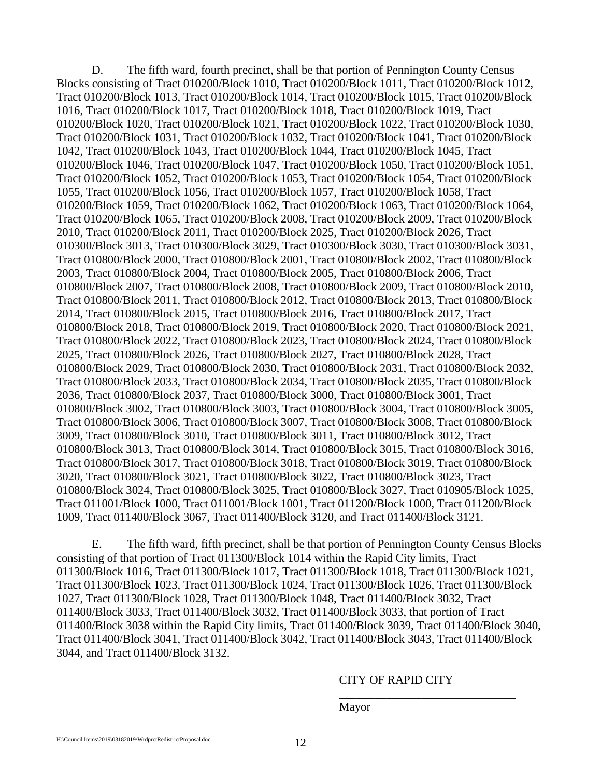D. The fifth ward, fourth precinct, shall be that portion of Pennington County Census Blocks consisting of Tract 010200/Block 1010, Tract 010200/Block 1011, Tract 010200/Block 1012, Tract 010200/Block 1013, Tract 010200/Block 1014, Tract 010200/Block 1015, Tract 010200/Block 1016, Tract 010200/Block 1017, Tract 010200/Block 1018, Tract 010200/Block 1019, Tract 010200/Block 1020, Tract 010200/Block 1021, Tract 010200/Block 1022, Tract 010200/Block 1030, Tract 010200/Block 1031, Tract 010200/Block 1032, Tract 010200/Block 1041, Tract 010200/Block 1042, Tract 010200/Block 1043, Tract 010200/Block 1044, Tract 010200/Block 1045, Tract 010200/Block 1046, Tract 010200/Block 1047, Tract 010200/Block 1050, Tract 010200/Block 1051, Tract 010200/Block 1052, Tract 010200/Block 1053, Tract 010200/Block 1054, Tract 010200/Block 1055, Tract 010200/Block 1056, Tract 010200/Block 1057, Tract 010200/Block 1058, Tract 010200/Block 1059, Tract 010200/Block 1062, Tract 010200/Block 1063, Tract 010200/Block 1064, Tract 010200/Block 1065, Tract 010200/Block 2008, Tract 010200/Block 2009, Tract 010200/Block 2010, Tract 010200/Block 2011, Tract 010200/Block 2025, Tract 010200/Block 2026, Tract 010300/Block 3013, Tract 010300/Block 3029, Tract 010300/Block 3030, Tract 010300/Block 3031, Tract 010800/Block 2000, Tract 010800/Block 2001, Tract 010800/Block 2002, Tract 010800/Block 2003, Tract 010800/Block 2004, Tract 010800/Block 2005, Tract 010800/Block 2006, Tract 010800/Block 2007, Tract 010800/Block 2008, Tract 010800/Block 2009, Tract 010800/Block 2010, Tract 010800/Block 2011, Tract 010800/Block 2012, Tract 010800/Block 2013, Tract 010800/Block 2014, Tract 010800/Block 2015, Tract 010800/Block 2016, Tract 010800/Block 2017, Tract 010800/Block 2018, Tract 010800/Block 2019, Tract 010800/Block 2020, Tract 010800/Block 2021, Tract 010800/Block 2022, Tract 010800/Block 2023, Tract 010800/Block 2024, Tract 010800/Block 2025, Tract 010800/Block 2026, Tract 010800/Block 2027, Tract 010800/Block 2028, Tract 010800/Block 2029, Tract 010800/Block 2030, Tract 010800/Block 2031, Tract 010800/Block 2032, Tract 010800/Block 2033, Tract 010800/Block 2034, Tract 010800/Block 2035, Tract 010800/Block 2036, Tract 010800/Block 2037, Tract 010800/Block 3000, Tract 010800/Block 3001, Tract 010800/Block 3002, Tract 010800/Block 3003, Tract 010800/Block 3004, Tract 010800/Block 3005, Tract 010800/Block 3006, Tract 010800/Block 3007, Tract 010800/Block 3008, Tract 010800/Block 3009, Tract 010800/Block 3010, Tract 010800/Block 3011, Tract 010800/Block 3012, Tract 010800/Block 3013, Tract 010800/Block 3014, Tract 010800/Block 3015, Tract 010800/Block 3016, Tract 010800/Block 3017, Tract 010800/Block 3018, Tract 010800/Block 3019, Tract 010800/Block 3020, Tract 010800/Block 3021, Tract 010800/Block 3022, Tract 010800/Block 3023, Tract 010800/Block 3024, Tract 010800/Block 3025, Tract 010800/Block 3027, Tract 010905/Block 1025, Tract 011001/Block 1000, Tract 011001/Block 1001, Tract 011200/Block 1000, Tract 011200/Block 1009, Tract 011400/Block 3067, Tract 011400/Block 3120, and Tract 011400/Block 3121.

E. The fifth ward, fifth precinct, shall be that portion of Pennington County Census Blocks consisting of that portion of Tract 011300/Block 1014 within the Rapid City limits, Tract 011300/Block 1016, Tract 011300/Block 1017, Tract 011300/Block 1018, Tract 011300/Block 1021, Tract 011300/Block 1023, Tract 011300/Block 1024, Tract 011300/Block 1026, Tract 011300/Block 1027, Tract 011300/Block 1028, Tract 011300/Block 1048, Tract 011400/Block 3032, Tract 011400/Block 3033, Tract 011400/Block 3032, Tract 011400/Block 3033, that portion of Tract 011400/Block 3038 within the Rapid City limits, Tract 011400/Block 3039, Tract 011400/Block 3040, Tract 011400/Block 3041, Tract 011400/Block 3042, Tract 011400/Block 3043, Tract 011400/Block 3044, and Tract 011400/Block 3132.

#### CITY OF RAPID CITY

\_\_\_\_\_\_\_\_\_\_\_\_\_\_\_\_\_\_\_\_\_\_\_\_\_\_\_\_\_\_

Mayor